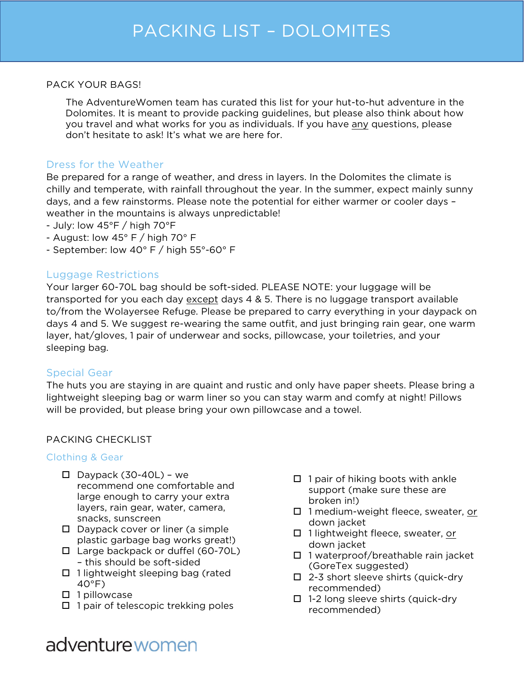### PACK YOUR BAGS!

The AdventureWomen team has curated this list for your hut-to-hut adventure in the Dolomites. It is meant to provide packing guidelines, but please also think about how you travel and what works for you as individuals. If you have any questions, please don't hesitate to ask! It's what we are here for.

### Dress for the Weather

Be prepared for a range of weather, and dress in layers. In the Dolomites the climate is chilly and temperate, with rainfall throughout the year. In the summer, expect mainly sunny days, and a few rainstorms. Please note the potential for either warmer or cooler days – weather in the mountains is always unpredictable!

- July: low 45°F / high 70°F
- August: low  $45^{\circ}$  F / high 70 $^{\circ}$  F
- September: low 40° F / high 55°-60° F

### Luggage Restrictions

Your larger 60-70L bag should be soft-sided. PLEASE NOTE: your luggage will be transported for you each day except days 4 & 5. There is no luggage transport available to/from the Wolayersee Refuge. Please be prepared to carry everything in your daypack on days 4 and 5. We suggest re-wearing the same outfit, and just bringing rain gear, one warm layer, hat/gloves, 1 pair of underwear and socks, pillowcase, your toiletries, and your sleeping bag.

### Special Gear

The huts you are staying in are quaint and rustic and only have paper sheets. Please bring a lightweight sleeping bag or warm liner so you can stay warm and comfy at night! Pillows will be provided, but please bring your own pillowcase and a towel.

### PACKING CHECKLIST

### Clothing & Gear

- $\square$  Daypack (30-40L) we recommend one comfortable and large enough to carry your extra layers, rain gear, water, camera, snacks, sunscreen
- $\square$  Daypack cover or liner (a simple plastic garbage bag works great!)
- $\Box$  Large backpack or duffel (60-70L) – this should be soft-sided
- $\Box$  1 lightweight sleeping bag (rated  $40^{\circ}$ F)
- $\Box$  1 pillowcase
- $\Box$  1 pair of telescopic trekking poles
- $\Box$  1 pair of hiking boots with ankle support (make sure these are broken in!)
- $\Box$  1 medium-weight fleece, sweater, or down jacket
- □ 1 lightweight fleece, sweater, or down jacket
- $\Box$  1 waterproof/breathable rain jacket (GoreTex suggested)
- $\Box$  2-3 short sleeve shirts (quick-dry recommended)
- $\Box$  1-2 long sleeve shirts (quick-dry recommended)

## adventure women